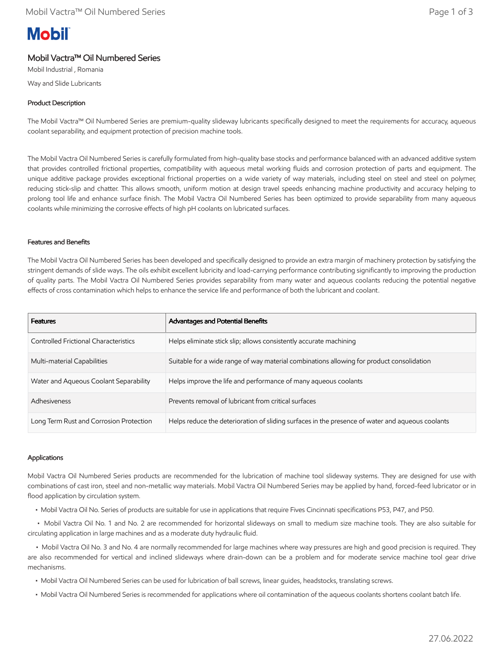# **Mobil**

## Mobil Vactra™ Oil Numbered Series

Mobil Industrial , Romania Way and Slide Lubricants

### Product Description

The Mobil Vactra™ Oil Numbered Series are premium-quality slideway lubricants specifically designed to meet the requirements for accuracy, aqueous coolant separability, and equipment protection of precision machine tools.

The Mobil Vactra Oil Numbered Series is carefully formulated from high-quality base stocks and performance balanced with an advanced additive system that provides controlled frictional properties, compatibility with aqueous metal working fluids and corrosion protection of parts and equipment. The unique additive package provides exceptional frictional properties on a wide variety of way materials, including steel on steel and steel on polymer, reducing stick-slip and chatter. This allows smooth, uniform motion at design travel speeds enhancing machine productivity and accuracy helping to prolong tool life and enhance surface finish. The Mobil Vactra Oil Numbered Series has been optimized to provide separability from many aqueous coolants while minimizing the corrosive effects of high pH coolants on lubricated surfaces.

#### Features and Benefits

The Mobil Vactra Oil Numbered Series has been developed and specifically designed to provide an extra margin of machinery protection by satisfying the stringent demands of slide ways. The oils exhibit excellent lubricity and load-carrying performance contributing significantly to improving the production of quality parts. The Mobil Vactra Oil Numbered Series provides separability from many water and aqueous coolants reducing the potential negative effects of cross contamination which helps to enhance the service life and performance of both the lubricant and coolant.

| <b>Features</b>                              | <b>Advantages and Potential Benefits</b>                                                         |
|----------------------------------------------|--------------------------------------------------------------------------------------------------|
| <b>Controlled Frictional Characteristics</b> | Helps eliminate stick slip; allows consistently accurate machining                               |
| Multi-material Capabilities                  | Suitable for a wide range of way material combinations allowing for product consolidation        |
| Water and Aqueous Coolant Separability       | Helps improve the life and performance of many aqueous coolants                                  |
| Adhesiveness                                 | Prevents removal of lubricant from critical surfaces                                             |
| Long Term Rust and Corrosion Protection      | Helps reduce the deterioration of sliding surfaces in the presence of water and aqueous coolants |

#### Applications

Mobil Vactra Oil Numbered Series products are recommended for the lubrication of machine tool slideway systems. They are designed for use with combinations of cast iron, steel and non-metallic way materials. Mobil Vactra Oil Numbered Series may be applied by hand, forced-feed lubricator or in flood application by circulation system.

• Mobil Vactra Oil No. Series of products are suitable for use in applications that require Fives Cincinnati specifications P53, P47, and P50.

 • Mobil Vactra Oil No. 1 and No. 2 are recommended for horizontal slideways on small to medium size machine tools. They are also suitable for circulating application in large machines and as a moderate duty hydraulic fluid.

 • Mobil Vactra Oil No. 3 and No. 4 are normally recommended for large machines where way pressures are high and good precision is required. They are also recommended for vertical and inclined slideways where drain-down can be a problem and for moderate service machine tool gear drive mechanisms.

- Mobil Vactra Oil Numbered Series can be used for lubrication of ball screws, linear guides, headstocks, translating screws.
- Mobil Vactra Oil Numbered Series is recommended for applications where oil contamination of the aqueous coolants shortens coolant batch life.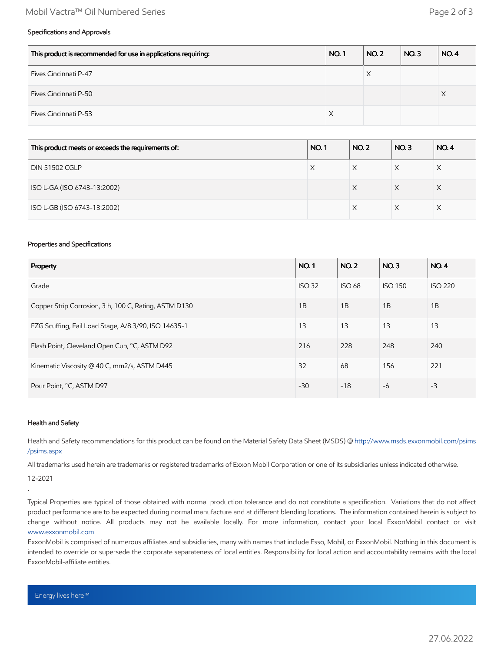#### Mobil Vactra™ Oil Numbered Series Page 2 of 3

#### Specifications and Approvals

| This product is recommended for use in applications requiring: | <b>NO.1</b> | <b>NO. 2</b> | NO.3 | <b>NO.4</b> |
|----------------------------------------------------------------|-------------|--------------|------|-------------|
| Fives Cincinnati P-47                                          |             | X            |      |             |
| Fives Cincinnati P-50                                          |             |              |      |             |
| <b>Fives Cincinnati P-53</b>                                   | X           |              |      |             |

| This product meets or exceeds the requirements of: | <b>NO.1</b> | <b>NO.2</b> | <b>NO.3</b> | <b>NO.4</b> |
|----------------------------------------------------|-------------|-------------|-------------|-------------|
| <b>DIN 51502 CGLP</b>                              | Х           |             | X           |             |
| ISO L-GA (ISO 6743-13:2002)                        |             | X           | X           | X           |
| ISO L-GB (ISO 6743-13:2002)                        |             |             |             |             |

#### Properties and Specifications

| Property                                              |       | <b>NO.2</b>   | NO.3           | <b>NO.4</b>    |
|-------------------------------------------------------|-------|---------------|----------------|----------------|
| Grade                                                 |       | <b>ISO 68</b> | <b>ISO 150</b> | <b>ISO 220</b> |
| Copper Strip Corrosion, 3 h, 100 C, Rating, ASTM D130 |       | 1B            | 1B             | 1B             |
| FZG Scuffing, Fail Load Stage, A/8.3/90, ISO 14635-1  |       | 13            | 13             | 13             |
| Flash Point, Cleveland Open Cup, °C, ASTM D92         | 216   | 228           | 248            | 240            |
| Kinematic Viscosity @ 40 C, mm2/s, ASTM D445          |       | 68            | 156            | 221            |
| Pour Point, °C, ASTM D97                              | $-30$ | $-18$         | $-6$           | $-3$           |

#### Health and Safety

Health and Safety recommendations for this product can be found on the Material Safety Data Sheet (MSDS) @ [http://www.msds.exxonmobil.com/psims](http://www.msds.exxonmobil.com/psims/psims.aspx) /psims.aspx

All trademarks used herein are trademarks or registered trademarks of Exxon Mobil Corporation or one of its subsidiaries unless indicated otherwise.

12-2021

.

Typical Properties are typical of those obtained with normal production tolerance and do not constitute a specification. Variations that do not affect product performance are to be expected during normal manufacture and at different blending locations. The information contained herein is subject to change without notice. All products may not be available locally. For more information, contact your local ExxonMobil contact or visit [www.exxonmobil.com](http://www.exxonmobil.com/)

ExxonMobil is comprised of numerous affiliates and subsidiaries, many with names that include Esso, Mobil, or ExxonMobil. Nothing in this document is intended to override or supersede the corporate separateness of local entities. Responsibility for local action and accountability remains with the local ExxonMobil-affiliate entities.